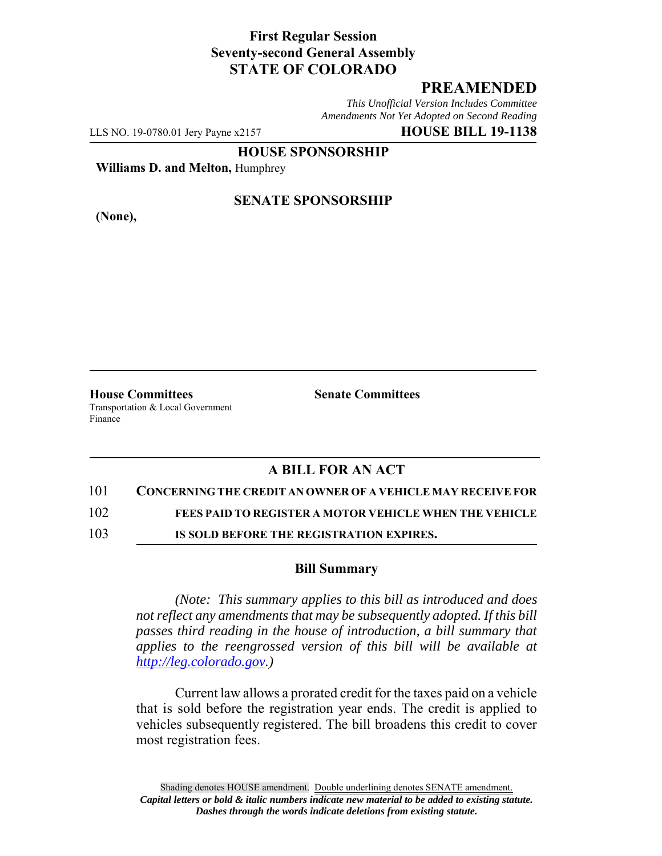### **First Regular Session Seventy-second General Assembly STATE OF COLORADO**

# **PREAMENDED**

*This Unofficial Version Includes Committee Amendments Not Yet Adopted on Second Reading*

LLS NO. 19-0780.01 Jery Payne x2157 **HOUSE BILL 19-1138**

**HOUSE SPONSORSHIP**

**Williams D. and Melton,** Humphrey

**(None),**

#### **SENATE SPONSORSHIP**

**House Committees Senate Committees** Transportation & Local Government Finance

## **A BILL FOR AN ACT**

#### 101 **CONCERNING THE CREDIT AN OWNER OF A VEHICLE MAY RECEIVE FOR**

102 **FEES PAID TO REGISTER A MOTOR VEHICLE WHEN THE VEHICLE**

103 **IS SOLD BEFORE THE REGISTRATION EXPIRES.**

#### **Bill Summary**

*(Note: This summary applies to this bill as introduced and does not reflect any amendments that may be subsequently adopted. If this bill passes third reading in the house of introduction, a bill summary that applies to the reengrossed version of this bill will be available at http://leg.colorado.gov.)*

Current law allows a prorated credit for the taxes paid on a vehicle that is sold before the registration year ends. The credit is applied to vehicles subsequently registered. The bill broadens this credit to cover most registration fees.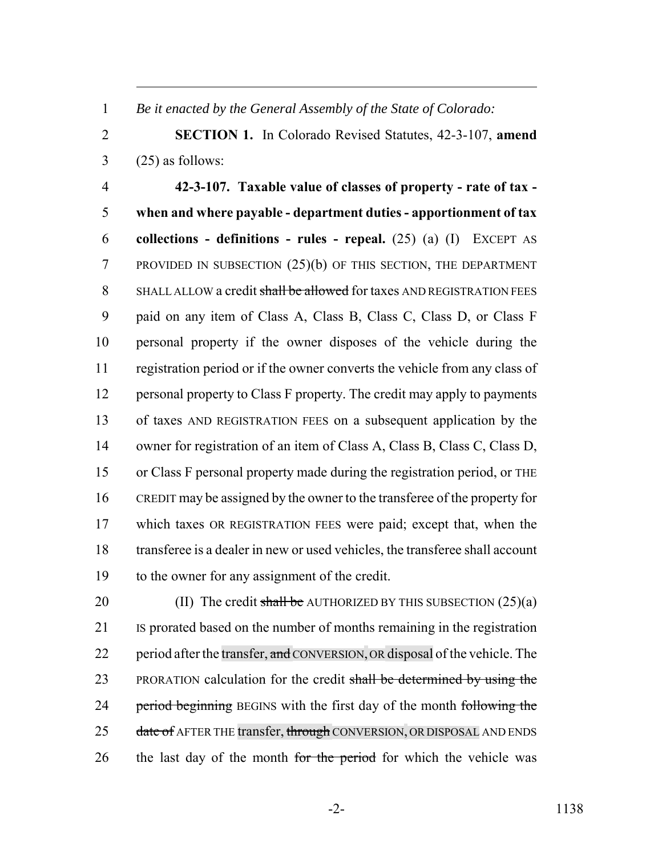*Be it enacted by the General Assembly of the State of Colorado:*

 **SECTION 1.** In Colorado Revised Statutes, 42-3-107, **amend**  $3 \qquad (25)$  as follows:

 **42-3-107. Taxable value of classes of property - rate of tax - when and where payable - department duties - apportionment of tax collections - definitions - rules - repeal.** (25) (a) (I) EXCEPT AS PROVIDED IN SUBSECTION (25)(b) OF THIS SECTION, THE DEPARTMENT 8 SHALL ALLOW a credit shall be allowed for taxes AND REGISTRATION FEES paid on any item of Class A, Class B, Class C, Class D, or Class F personal property if the owner disposes of the vehicle during the registration period or if the owner converts the vehicle from any class of personal property to Class F property. The credit may apply to payments of taxes AND REGISTRATION FEES on a subsequent application by the owner for registration of an item of Class A, Class B, Class C, Class D, or Class F personal property made during the registration period, or THE CREDIT may be assigned by the owner to the transferee of the property for which taxes OR REGISTRATION FEES were paid; except that, when the transferee is a dealer in new or used vehicles, the transferee shall account to the owner for any assignment of the credit.

20 (II) The credit shall be AUTHORIZED BY THIS SUBSECTION  $(25)(a)$  IS prorated based on the number of months remaining in the registration 22 period after the transfer, and CONVERSION, OR disposal of the vehicle. The 23 PRORATION calculation for the credit shall be determined by using the 24 period beginning BEGINS with the first day of the month following the 25 date of AFTER THE transfer, through CONVERSION, OR DISPOSAL AND ENDS 26 the last day of the month for the period for which the vehicle was